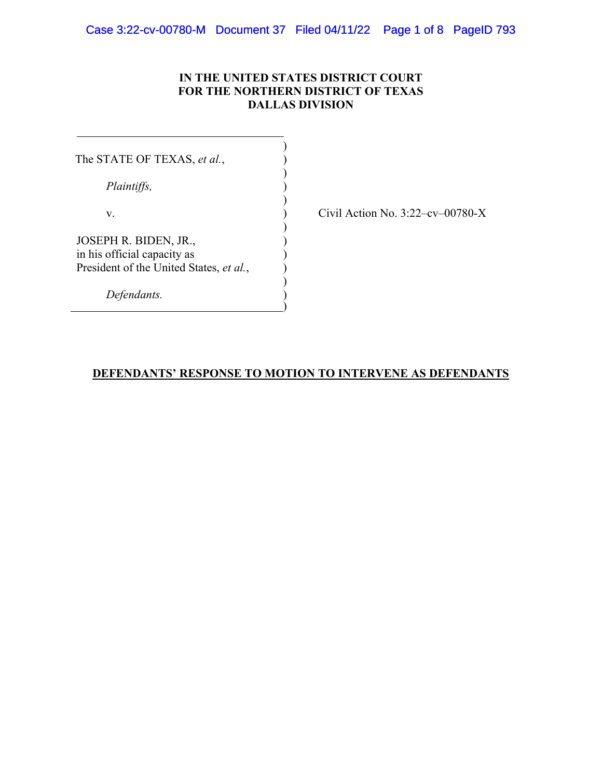## **IN THE UNITED STATES DISTRICT COURT FOR THE NORTHERN DISTRICT OF TEXAS DALLAS DIVISION**

)

)

The STATE OF TEXAS, et al.,

*Plaintiffs,* )

JOSEPH R. BIDEN, JR.,  $\qquad \qquad$ ) in his official capacity as ) President of the United States, *et al.*,

 $\overline{\phantom{a}}$ 

 $)$ 

 $)$ 

*Defendants.* )  $\qquad \qquad \qquad \qquad$ 

v. ) Civil Action No. 3:22–cv–00780-X

## **DEFENDANTS' RESPONSE TO MOTION TO INTERVENE AS DEFENDANTS**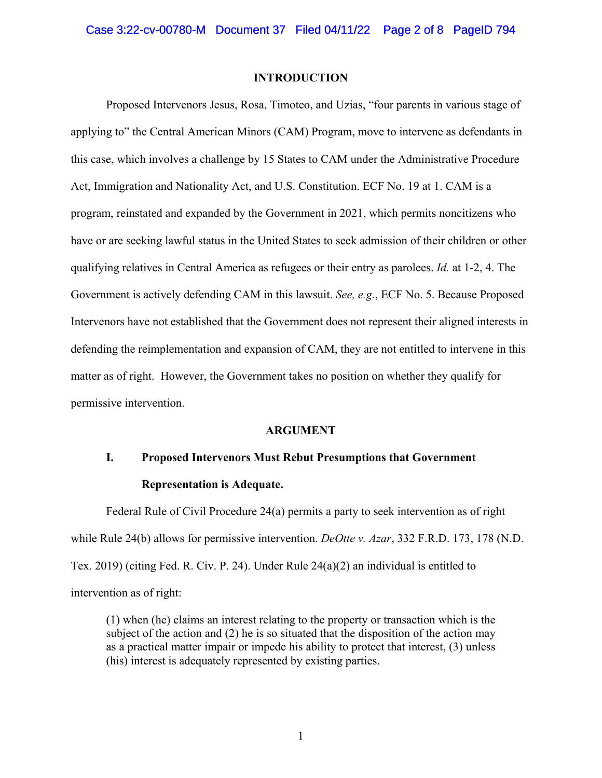### **INTRODUCTION**

Proposed Intervenors Jesus, Rosa, Timoteo, and Uzias, "four parents in various stage of applying to" the Central American Minors (CAM) Program, move to intervene as defendants in this case, which involves a challenge by 15 States to CAM under the Administrative Procedure Act, Immigration and Nationality Act, and U.S. Constitution. ECF No. 19 at 1. CAM is a program, reinstated and expanded by the Government in 2021, which permits noncitizens who have or are seeking lawful status in the United States to seek admission of their children or other qualifying relatives in Central America as refugees or their entry as parolees. *Id.* at 1-2, 4. The Government is actively defending CAM in this lawsuit. *See, e.g.*, ECF No. 5. Because Proposed Intervenors have not established that the Government does not represent their aligned interests in defending the reimplementation and expansion of CAM, they are not entitled to intervene in this matter as of right. However, the Government takes no position on whether they qualify for permissive intervention.

### **ARGUMENT**

# **I. Proposed Intervenors Must Rebut Presumptions that Government Representation is Adequate.**

Federal Rule of Civil Procedure 24(a) permits a party to seek intervention as of right while Rule 24(b) allows for permissive intervention. *DeOtte v. Azar*, 332 F.R.D. 173, 178 (N.D. Tex. 2019) (citing Fed. R. Civ. P. 24). Under Rule 24(a)(2) an individual is entitled to intervention as of right:

(1) when (he) claims an interest relating to the property or transaction which is the subject of the action and (2) he is so situated that the disposition of the action may as a practical matter impair or impede his ability to protect that interest, (3) unless (his) interest is adequately represented by existing parties.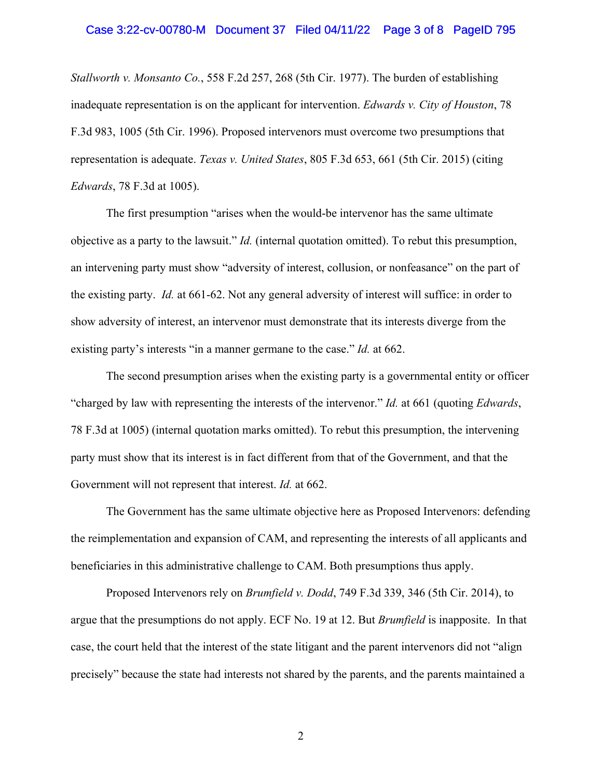## Case 3:22-cv-00780-M Document 37 Filed 04/11/22 Page 3 of 8 PageID 795

*Stallworth v. Monsanto Co.*, 558 F.2d 257, 268 (5th Cir. 1977). The burden of establishing inadequate representation is on the applicant for intervention. *Edwards v. City of Houston*, 78 F.3d 983, 1005 (5th Cir. 1996). Proposed intervenors must overcome two presumptions that representation is adequate. *Texas v. United States*, 805 F.3d 653, 661 (5th Cir. 2015) (citing *Edwards*, 78 F.3d at 1005).

The first presumption "arises when the would-be intervenor has the same ultimate objective as a party to the lawsuit." *Id.* (internal quotation omitted). To rebut this presumption, an intervening party must show "adversity of interest, collusion, or nonfeasance" on the part of the existing party. *Id.* at 661-62. Not any general adversity of interest will suffice: in order to show adversity of interest, an intervenor must demonstrate that its interests diverge from the existing party's interests "in a manner germane to the case." *Id.* at 662.

The second presumption arises when the existing party is a governmental entity or officer "charged by law with representing the interests of the intervenor." *Id.* at 661 (quoting *Edwards*, 78 F.3d at 1005) (internal quotation marks omitted). To rebut this presumption, the intervening party must show that its interest is in fact different from that of the Government, and that the Government will not represent that interest. *Id.* at 662.

The Government has the same ultimate objective here as Proposed Intervenors: defending the reimplementation and expansion of CAM, and representing the interests of all applicants and beneficiaries in this administrative challenge to CAM. Both presumptions thus apply.

Proposed Intervenors rely on *Brumfield v. Dodd*, 749 F.3d 339, 346 (5th Cir. 2014), to argue that the presumptions do not apply. ECF No. 19 at 12. But *Brumfield* is inapposite. In that case, the court held that the interest of the state litigant and the parent intervenors did not "align precisely" because the state had interests not shared by the parents, and the parents maintained a

2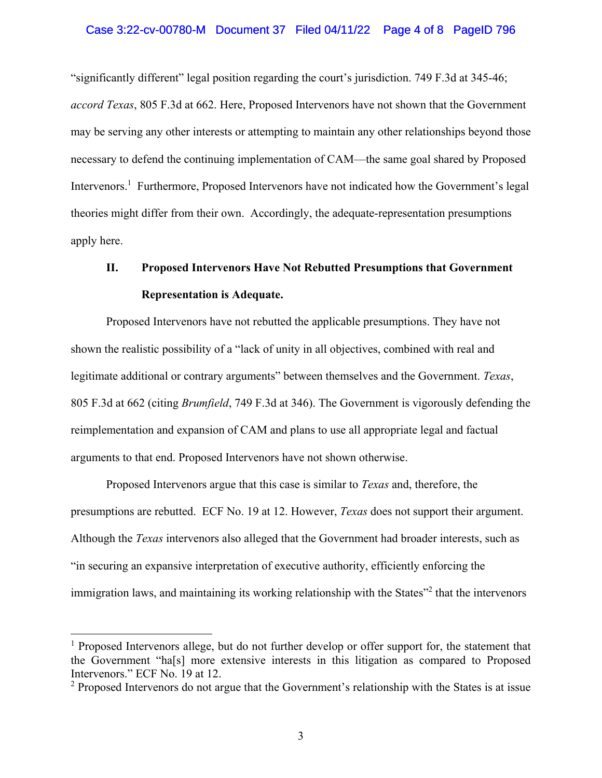### Case 3:22-cv-00780-M Document 37 Filed 04/11/22 Page 4 of 8 PageID 796

"significantly different" legal position regarding the court's jurisdiction. 749 F.3d at 345-46; *accord Texas*, 805 F.3d at 662. Here, Proposed Intervenors have not shown that the Government may be serving any other interests or attempting to maintain any other relationships beyond those necessary to defend the continuing implementation of CAM—the same goal shared by Proposed Intervenors.<sup>1</sup> Furthermore, Proposed Intervenors have not indicated how the Government's legal theories might differ from their own. Accordingly, the adequate-representation presumptions apply here.

## **II. Proposed Intervenors Have Not Rebutted Presumptions that Government Representation is Adequate.**

 Proposed Intervenors have not rebutted the applicable presumptions. They have not shown the realistic possibility of a "lack of unity in all objectives, combined with real and legitimate additional or contrary arguments" between themselves and the Government. *Texas*, 805 F.3d at 662 (citing *Brumfield*, 749 F.3d at 346). The Government is vigorously defending the reimplementation and expansion of CAM and plans to use all appropriate legal and factual arguments to that end. Proposed Intervenors have not shown otherwise.

Proposed Intervenors argue that this case is similar to *Texas* and, therefore, the presumptions are rebutted. ECF No. 19 at 12. However, *Texas* does not support their argument. Although the *Texas* intervenors also alleged that the Government had broader interests, such as "in securing an expansive interpretation of executive authority, efficiently enforcing the immigration laws, and maintaining its working relationship with the States"<sup>2</sup> that the intervenors

 $\overline{a}$ 

<sup>&</sup>lt;sup>1</sup> Proposed Intervenors allege, but do not further develop or offer support for, the statement that the Government "ha[s] more extensive interests in this litigation as compared to Proposed Intervenors." ECF No. 19 at 12.

 $2$  Proposed Intervenors do not argue that the Government's relationship with the States is at issue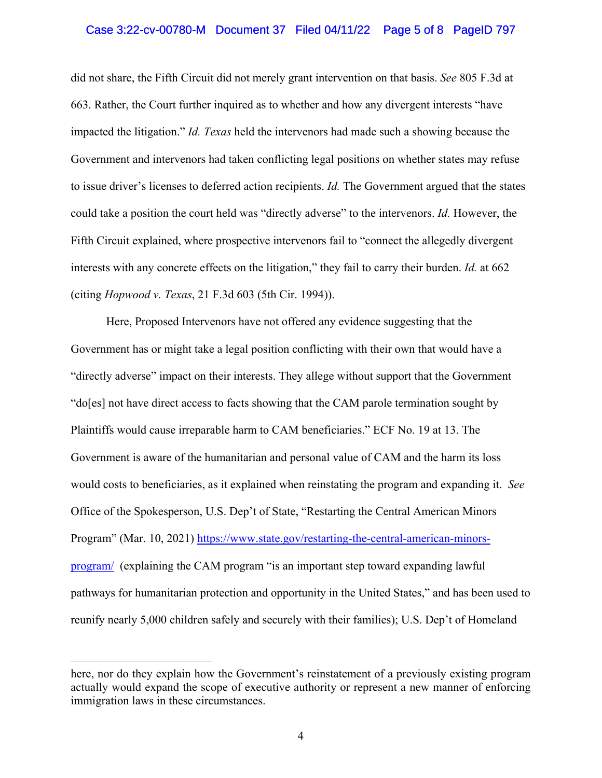## Case 3:22-cv-00780-M Document 37 Filed 04/11/22 Page 5 of 8 PageID 797

did not share, the Fifth Circuit did not merely grant intervention on that basis. *See* 805 F.3d at 663. Rather, the Court further inquired as to whether and how any divergent interests "have impacted the litigation." *Id. Texas* held the intervenors had made such a showing because the Government and intervenors had taken conflicting legal positions on whether states may refuse to issue driver's licenses to deferred action recipients. *Id.* The Government argued that the states could take a position the court held was "directly adverse" to the intervenors. *Id.* However, the Fifth Circuit explained, where prospective intervenors fail to "connect the allegedly divergent interests with any concrete effects on the litigation," they fail to carry their burden. *Id.* at 662 (citing *Hopwood v. Texas*, 21 F.3d 603 (5th Cir. 1994)).

Here, Proposed Intervenors have not offered any evidence suggesting that the Government has or might take a legal position conflicting with their own that would have a "directly adverse" impact on their interests. They allege without support that the Government "do[es] not have direct access to facts showing that the CAM parole termination sought by Plaintiffs would cause irreparable harm to CAM beneficiaries." ECF No. 19 at 13. The Government is aware of the humanitarian and personal value of CAM and the harm its loss would costs to beneficiaries, as it explained when reinstating the program and expanding it. *See* Office of the Spokesperson, U.S. Dep't of State, "Restarting the Central American Minors Program" (Mar. 10, 2021) https://www.state.gov/restarting-the-central-american-minorsprogram/ (explaining the CAM program "is an important step toward expanding lawful pathways for humanitarian protection and opportunity in the United States," and has been used to reunify nearly 5,000 children safely and securely with their families); U.S. Dep't of Homeland

 $\overline{a}$ 

here, nor do they explain how the Government's reinstatement of a previously existing program actually would expand the scope of executive authority or represent a new manner of enforcing immigration laws in these circumstances.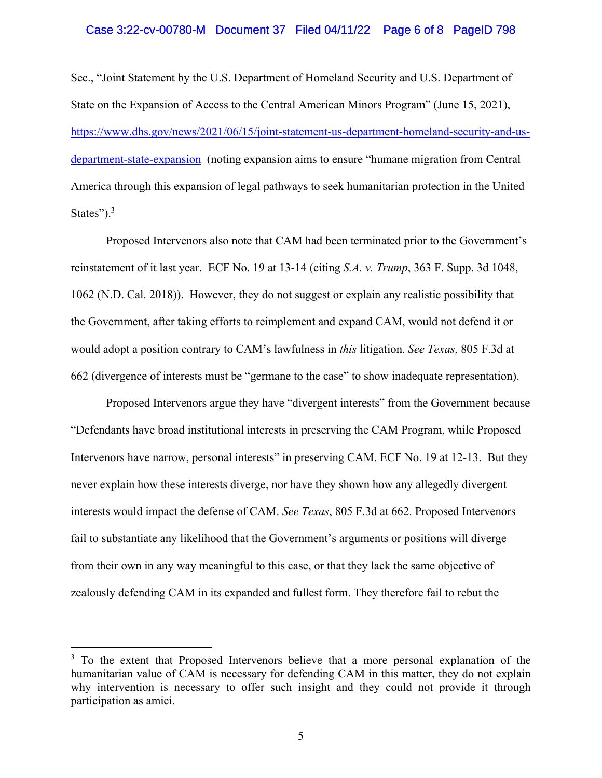### Case 3:22-cv-00780-M Document 37 Filed 04/11/22 Page 6 of 8 PageID 798

Sec., "Joint Statement by the U.S. Department of Homeland Security and U.S. Department of State on the Expansion of Access to the Central American Minors Program" (June 15, 2021), https://www.dhs.gov/news/2021/06/15/joint-statement-us-department-homeland-security-and-usdepartment-state-expansion (noting expansion aims to ensure "humane migration from Central America through this expansion of legal pathways to seek humanitarian protection in the United States"). $3$ 

Proposed Intervenors also note that CAM had been terminated prior to the Government's reinstatement of it last year. ECF No. 19 at 13-14 (citing *S.A. v. Trump*, 363 F. Supp. 3d 1048, 1062 (N.D. Cal. 2018)). However, they do not suggest or explain any realistic possibility that the Government, after taking efforts to reimplement and expand CAM, would not defend it or would adopt a position contrary to CAM's lawfulness in *this* litigation. *See Texas*, 805 F.3d at 662 (divergence of interests must be "germane to the case" to show inadequate representation).

Proposed Intervenors argue they have "divergent interests" from the Government because "Defendants have broad institutional interests in preserving the CAM Program, while Proposed Intervenors have narrow, personal interests" in preserving CAM. ECF No. 19 at 12-13. But they never explain how these interests diverge, nor have they shown how any allegedly divergent interests would impact the defense of CAM. *See Texas*, 805 F.3d at 662. Proposed Intervenors fail to substantiate any likelihood that the Government's arguments or positions will diverge from their own in any way meaningful to this case, or that they lack the same objective of zealously defending CAM in its expanded and fullest form. They therefore fail to rebut the

 $\overline{a}$ 

<sup>&</sup>lt;sup>3</sup> To the extent that Proposed Intervenors believe that a more personal explanation of the humanitarian value of CAM is necessary for defending CAM in this matter, they do not explain why intervention is necessary to offer such insight and they could not provide it through participation as amici.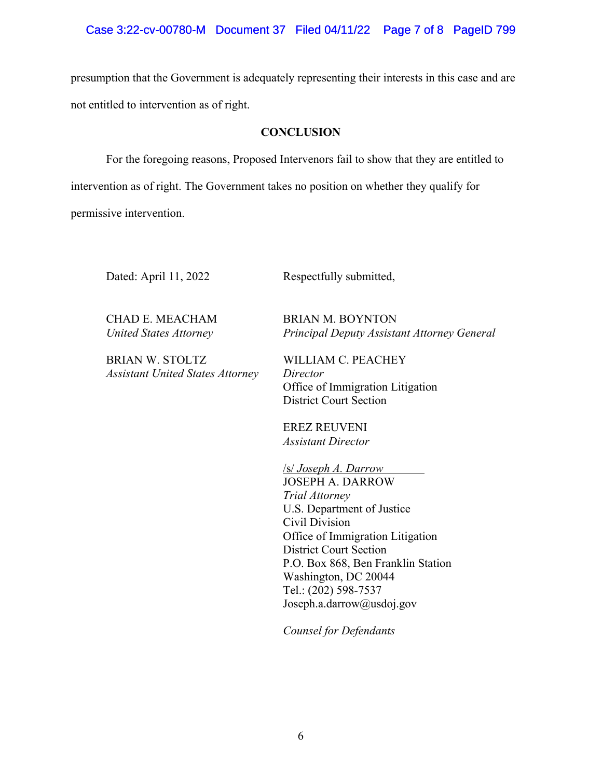## Case 3:22-cv-00780-M Document 37 Filed 04/11/22 Page 7 of 8 PageID 799

presumption that the Government is adequately representing their interests in this case and are not entitled to intervention as of right.

### **CONCLUSION**

For the foregoing reasons, Proposed Intervenors fail to show that they are entitled to intervention as of right. The Government takes no position on whether they qualify for permissive intervention.

Dated: April 11, 2022 Respectfully submitted,

CHAD E. MEACHAM BRIAN M. BOYNTON  *United States Attorney Principal Deputy Assistant Attorney General* 

BRIAN W. STOLTZ WILLIAM C. PEACHEY *Assistant United States Attorney Director* 

Office of Immigration Litigation District Court Section

EREZ REUVENI *Assistant Director*

/s/ *Joseph A. Darrow* JOSEPH A. DARROW *Trial Attorney*  U.S. Department of Justice Civil Division Office of Immigration Litigation District Court Section P.O. Box 868, Ben Franklin Station Washington, DC 20044 Tel.: (202) 598-7537 Joseph.a.darrow@usdoj.gov

*Counsel for Defendants*